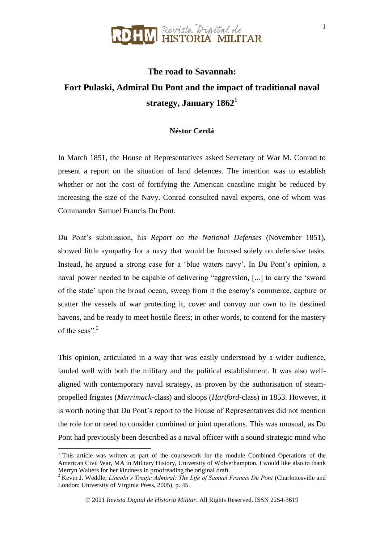#### N Revista Digital de<br>N HISTORIA MILITAR

#### **The road to Savannah: Fort Pulaski, Admiral Du Pont and the impact of traditional naval strategy, January 1862<sup>1</sup>**

#### **Néstor Cerdá**

In March 1851, the House of Representatives asked Secretary of War M. Conrad to present a report on the situation of land defences. The intention was to establish whether or not the cost of fortifying the American coastline might be reduced by increasing the size of the Navy. Conrad consulted naval experts, one of whom was Commander Samuel Francis Du Pont.

Du Pont's submission, his *Report on the National Defenses* (November 1851), showed little sympathy for a navy that would be focused solely on defensive tasks. Instead, he argued a strong case for a 'blue waters navy'. In Du Pont's opinion, a naval power needed to be capable of delivering "aggression, [...] to carry the 'sword of the state' upon the broad ocean, sweep from it the enemy's commerce, capture or scatter the vessels of war protecting it, cover and convoy our own to its destined havens, and be ready to meet hostile fleets; in other words, to contend for the mastery of the seas". $2$ 

This opinion, articulated in a way that was easily understood by a wider audience, landed well with both the military and the political establishment. It was also wellaligned with contemporary naval strategy, as proven by the authorisation of steampropelled frigates (*Merrimack*-class) and sloops (*Hartford*-class) in 1853. However, it is worth noting that Du Pont's report to the House of Representatives did not mention the role for or need to consider combined or joint operations. This was unusual, as Du Pont had previously been described as a naval officer with a sound strategic mind who

 $1$  This article was written as part of the coursework for the module Combined Operations of the American Civil War, MA in Military History, University of Wolverhampton. I would like also to thank Merryn Walters for her kindness in proofreading the original draft.

<sup>2</sup> Kevin J. Weddle, *Lincoln's Tragic Admiral: The Life of Samuel Francis Du Pont* (Charlottesville and London: University of Virginia Press, 2005), p. 45.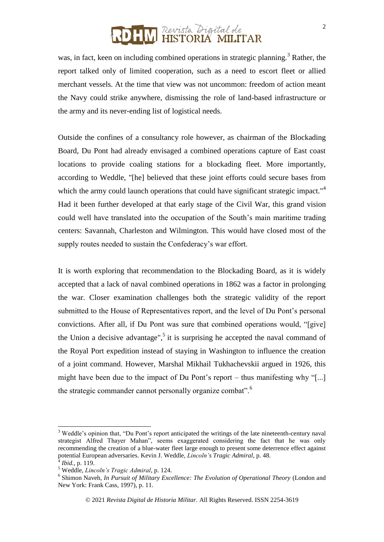#### ] Revista Digital de<br>] **HISTORIA MILITAR**

was, in fact, keen on including combined operations in strategic planning.<sup>3</sup> Rather, the report talked only of limited cooperation, such as a need to escort fleet or allied merchant vessels. At the time that view was not uncommon: freedom of action meant the Navy could strike anywhere, dismissing the role of land-based infrastructure or the army and its never-ending list of logistical needs.

Outside the confines of a consultancy role however, as chairman of the Blockading Board, Du Pont had already envisaged a combined operations capture of East coast locations to provide coaling stations for a blockading fleet. More importantly, according to Weddle, "[he] believed that these joint efforts could secure bases from which the army could launch operations that could have significant strategic impact."<sup>4</sup> Had it been further developed at that early stage of the Civil War, this grand vision could well have translated into the occupation of the South's main maritime trading centers: Savannah, Charleston and Wilmington. This would have closed most of the supply routes needed to sustain the Confederacy's war effort.

It is worth exploring that recommendation to the Blockading Board, as it is widely accepted that a lack of naval combined operations in 1862 was a factor in prolonging the war. Closer examination challenges both the strategic validity of the report submitted to the House of Representatives report, and the level of Du Pont's personal convictions. After all, if Du Pont was sure that combined operations would, "[give] the Union a decisive advantage",<sup>5</sup> it is surprising he accepted the naval command of the Royal Port expedition instead of staying in Washington to influence the creation of a joint command. However, Marshal Mikhail Tukhachevskii argued in 1926, this might have been due to the impact of Du Pont's report – thus manifesting why "[...] the strategic commander cannot personally organize combat".<sup>6</sup>

<sup>&</sup>lt;sup>3</sup> Weddle's opinion that, "Du Pont's report anticipated the writings of the late nineteenth-century naval strategist Alfred Thayer Mahan", seems exaggerated considering the fact that he was only recommending the creation of a blue-water fleet large enough to present some deterrence effect against potential European adversaries. Kevin J. Weddle, *Lincoln's Tragic Admiral*, p. 48. 4

*Ibid.*, p. 119.

<sup>5</sup> Weddle, *Lincoln's Tragic Admiral*, p. 124.

<sup>&</sup>lt;sup>6</sup> Shimon Naveh, *In Pursuit of Military Excellence: The Evolution of Operational Theory* (London and New York: Frank Cass, 1997), p. 11.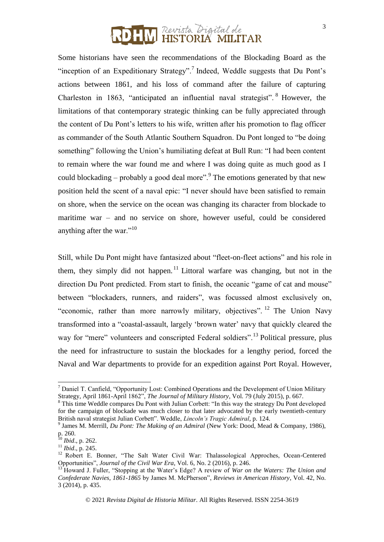## ] Revista Digital de<br>] **HISTORIA MILITAR**

Some historians have seen the recommendations of the Blockading Board as the "inception of an Expeditionary Strategy".<sup>7</sup> Indeed, Weddle suggests that Du Pont's actions between 1861, and his loss of command after the failure of capturing Charleston in 1863, "anticipated an influential naval strategist". <sup>8</sup> However, the limitations of that contemporary strategic thinking can be fully appreciated through the content of Du Pont's letters to his wife, written after his promotion to flag officer as commander of the South Atlantic Southern Squadron. Du Pont longed to "be doing something" following the Union's humiliating defeat at Bull Run: "I had been content to remain where the war found me and where I was doing quite as much good as I could blockading – probably a good deal more".<sup>9</sup> The emotions generated by that new position held the scent of a naval epic: "I never should have been satisfied to remain on shore, when the service on the ocean was changing its character from blockade to maritime war – and no service on shore, however useful, could be considered anything after the war."<sup>10</sup>

Still, while Du Pont might have fantasized about "fleet-on-fleet actions" and his role in them, they simply did not happen.<sup>11</sup> Littoral warfare was changing, but not in the direction Du Pont predicted. From start to finish, the oceanic "game of cat and mouse" between "blockaders, runners, and raiders", was focussed almost exclusively on, "economic, rather than more narrowly military, objectives". <sup>12</sup> The Union Navy transformed into a "coastal-assault, largely 'brown water' navy that quickly cleared the way for "mere" volunteers and conscripted Federal soldiers".<sup>13</sup> Political pressure, plus the need for infrastructure to sustain the blockades for a lengthy period, forced the Naval and War departments to provide for an expedition against Port Royal. However,

<sup>7</sup> Daniel T. Canfield, "Opportunity Lost: Combined Operations and the Development of Union Military Strategy, April 1861-April 1862", *The Journal of Military History*, Vol. 79 (July 2015), p. 667.

<sup>&</sup>lt;sup>8</sup> This time Weddle compares Du Pont with Julian Corbett: "In this way the strategy Du Pont developed for the campaign of blockade was much closer to that later advocated by the early twentieth-century British naval strategist Julian Corbett". Weddle, *Lincoln's Tragic Admiral*, p. 124.

<sup>9</sup> James M. Merrill, *Du Pont: The Making of an Admiral* (New York: Dood, Mead & Company, 1986), p. 260.

<sup>10</sup> *Ibid*., p. 262.

<sup>11</sup> *Ibid*., p. 245.

<sup>&</sup>lt;sup>12</sup> Robert E. Bonner, "The Salt Water Civil War: Thalassological Approches, Ocean-Centered Opportunities", *Journal of the Civil War Era*, Vol. 6, No. 2 (2016), p. 246.

<sup>13</sup> Howard J. Fuller, "Stopping at the Water's Edge? A review of *War on the Waters: The Union and Confederate Navies, 1861-1865* by James M. McPherson", *Reviews in American History*, Vol. 42, No. 3 (2014), p. 435.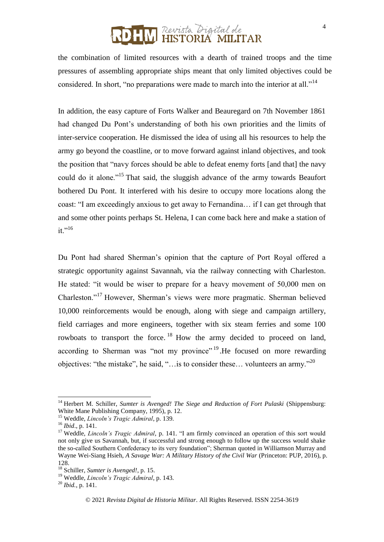#### ] Revista Digital de<br>] **HISTORIA MILITAR**

the combination of limited resources with a dearth of trained troops and the time pressures of assembling appropriate ships meant that only limited objectives could be considered. In short, "no preparations were made to march into the interior at all."<sup>14</sup>

In addition, the easy capture of Forts Walker and Beauregard on 7th November 1861 had changed Du Pont's understanding of both his own priorities and the limits of inter-service cooperation. He dismissed the idea of using all his resources to help the army go beyond the coastline, or to move forward against inland objectives, and took the position that "navy forces should be able to defeat enemy forts [and that] the navy could do it alone."<sup>15</sup> That said, the sluggish advance of the army towards Beaufort bothered Du Pont. It interfered with his desire to occupy more locations along the coast: "I am exceedingly anxious to get away to Fernandina… if I can get through that and some other points perhaps St. Helena, I can come back here and make a station of  $it.$ "<sup>16</sup>

Du Pont had shared Sherman's opinion that the capture of Port Royal offered a strategic opportunity against Savannah, via the railway connecting with Charleston. He stated: "it would be wiser to prepare for a heavy movement of 50,000 men on Charleston."<sup>17</sup> However, Sherman's views were more pragmatic. Sherman believed 10,000 reinforcements would be enough, along with siege and campaign artillery, field carriages and more engineers, together with six steam ferries and some 100 rowboats to transport the force.<sup>18</sup> How the army decided to proceed on land, according to Sherman was "not my province"<sup>19</sup>. He focused on more rewarding objectives: "the mistake", he said, "... is to consider these... volunteers an army."<sup>20</sup>

 $\overline{a}$ 

<sup>&</sup>lt;sup>14</sup> Herbert M. Schiller, *Sumter is Avenged! The Siege and Reduction of Fort Pulaski* (Shippensburg: White Mane Publishing Company, 1995), p. 12.

<sup>15</sup> Weddle, *Lincoln's Tragic Admiral*, p. 139.

<sup>16</sup> *Ibid*., p. 141.

<sup>&</sup>lt;sup>17</sup> Weddle, *Lincoln's Tragic Admiral*, p. 141. "I am firmly convinced an operation of this sort would not only give us Savannah, but, if successful and strong enough to follow up the success would shake the so-called Southern Confederacy to its very foundation"; Sherman quoted in Williamson Murray and Wayne Wei-Siang Hsieh, *A Savage War: A Military History of the Civil War* (Princeton: PUP, 2016), p. 128.

<sup>18</sup> Schiller, *Sumter is Avenged!*, p. 15.

<sup>19</sup> Weddle, *Lincoln's Tragic Admiral*, p. 143.

<sup>20</sup> *Ibid.*, p. 141.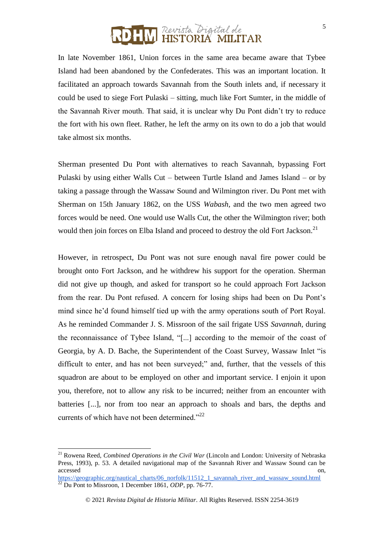In late November 1861, Union forces in the same area became aware that Tybee Island had been abandoned by the Confederates. This was an important location. It facilitated an approach towards Savannah from the South inlets and, if necessary it could be used to siege Fort Pulaski – sitting, much like Fort Sumter, in the middle of the Savannah River mouth. That said, it is unclear why Du Pont didn't try to reduce the fort with his own fleet. Rather, he left the army on its own to do a job that would take almost six months.

Sherman presented Du Pont with alternatives to reach Savannah, bypassing Fort Pulaski by using either Walls Cut – between Turtle Island and James Island – or by taking a passage through the Wassaw Sound and Wilmington river. Du Pont met with Sherman on 15th January 1862, on the USS *Wabash,* and the two men agreed two forces would be need. One would use Walls Cut, the other the Wilmington river; both would then join forces on Elba Island and proceed to destroy the old Fort Jackson.<sup>21</sup>

However, in retrospect, Du Pont was not sure enough naval fire power could be brought onto Fort Jackson, and he withdrew his support for the operation. Sherman did not give up though, and asked for transport so he could approach Fort Jackson from the rear. Du Pont refused. A concern for losing ships had been on Du Pont's mind since he'd found himself tied up with the army operations south of Port Royal. As he reminded Commander J. S. Missroon of the sail frigate USS *Savannah,* during the reconnaissance of Tybee Island, "[...] according to the memoir of the coast of Georgia, by A. D. Bache, the Superintendent of the Coast Survey, Wassaw Inlet "is difficult to enter, and has not been surveyed;" and, further, that the vessels of this squadron are about to be employed on other and important service. I enjoin it upon you, therefore, not to allow any risk to be incurred; neither from an encounter with batteries [...], nor from too near an approach to shoals and bars, the depths and currents of which have not been determined."<sup>22</sup>

<sup>21</sup> Rowena Reed, *Combined Operations in the Civil War* (Lincoln and London: University of Nebraska Press, 1993), p. 53. A detailed navigational map of the Savannah River and Wassaw Sound can be accessed on, and the contract of the contract of the contract of the contract of the contract on, on,

[https://geographic.org/nautical\\_charts/06\\_norfolk/11512\\_1\\_savannah\\_river\\_and\\_wassaw\\_sound.html](https://geographic.org/nautical_charts/06_norfolk/11512_1_savannah_river_and_wassaw_sound.html) <sup>22</sup> Du Pont to Missroon, 1 December 1861, *ODP*, pp. 76-77.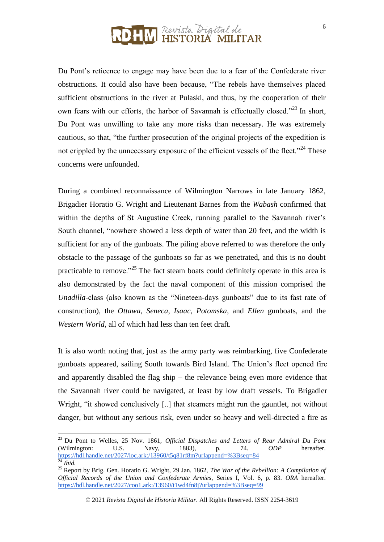Du Pont's reticence to engage may have been due to a fear of the Confederate river obstructions. It could also have been because, "The rebels have themselves placed sufficient obstructions in the river at Pulaski, and thus, by the cooperation of their own fears with our efforts, the harbor of Savannah is effectually closed."<sup>23</sup> In short, Du Pont was unwilling to take any more risks than necessary. He was extremely cautious, so that, "the further prosecution of the original projects of the expedition is not crippled by the unnecessary exposure of the efficient vessels of the fleet."<sup>24</sup> These concerns were unfounded.

During a combined reconnaissance of Wilmington Narrows in late January 1862, Brigadier Horatio G. Wright and Lieutenant Barnes from the *Wabash* confirmed that within the depths of St Augustine Creek, running parallel to the Savannah river's South channel, "nowhere showed a less depth of water than 20 feet, and the width is sufficient for any of the gunboats. The piling above referred to was therefore the only obstacle to the passage of the gunboats so far as we penetrated, and this is no doubt practicable to remove."<sup>25</sup> The fact steam boats could definitely operate in this area is also demonstrated by the fact the naval component of this mission comprised the *Unadilla*-class (also known as the "Nineteen-days gunboats" due to its fast rate of construction), the *Ottawa*, *Seneca*, *Isaac*, *Potomska*, and *Ellen* gunboats, and the *Western World*, all of which had less than ten feet draft.

It is also worth noting that, just as the army party was reimbarking, five Confederate gunboats appeared, sailing South towards Bird Island. The Union's fleet opened fire and apparently disabled the flag ship – the relevance being even more evidence that the Savannah river could be navigated, at least by low draft vessels. To Brigadier Wright, "it showed conclusively [..] that steamers might run the gauntlet, not without danger, but without any serious risk, even under so heavy and well-directed a fire as

<sup>23</sup> Du Pont to Welles, 25 Nov. 1861, *Official Dispatches and Letters of Rear Admiral Du Pont* (Wilmington: U.S. Navy, 1883), p. 74. *ODP* hereafter. <https://hdl.handle.net/2027/loc.ark:/13960/t5q81rf8m?urlappend=%3Bseq=84> <sup>24</sup> *Ibid.*

<sup>25</sup> Report by Brig. Gen. Horatio G. Wright, 29 Jan. 1862, *The War of the Rebellion: A Compilation of Official Records of the Union and Confederate Armies*, Series I, Vol. 6, p. 83. *ORA* hereafter. <https://hdl.handle.net/2027/coo1.ark:/13960/t1wd4fn8j?urlappend=%3Bseq=99>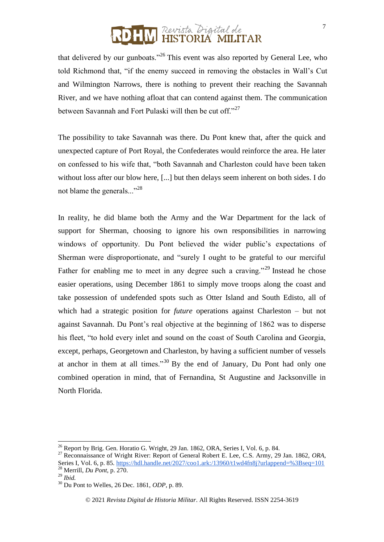that delivered by our gunboats."<sup>26</sup> This event was also reported by General Lee, who told Richmond that, "if the enemy succeed in removing the obstacles in Wall's Cut and Wilmington Narrows, there is nothing to prevent their reaching the Savannah River, and we have nothing afloat that can contend against them. The communication between Savannah and Fort Pulaski will then be cut off."<sup>27</sup>

The possibility to take Savannah was there. Du Pont knew that, after the quick and unexpected capture of Port Royal, the Confederates would reinforce the area. He later on confessed to his wife that, "both Savannah and Charleston could have been taken without loss after our blow here, [...] but then delays seem inherent on both sides. I do not blame the generals..."<sup>28</sup>

In reality, he did blame both the Army and the War Department for the lack of support for Sherman, choosing to ignore his own responsibilities in narrowing windows of opportunity. Du Pont believed the wider public's expectations of Sherman were disproportionate, and "surely I ought to be grateful to our merciful Father for enabling me to meet in any degree such a craving."<sup>29</sup> Instead he chose easier operations, using December 1861 to simply move troops along the coast and take possession of undefended spots such as Otter Island and South Edisto, all of which had a strategic position for *future* operations against Charleston – but not against Savannah. Du Pont's real objective at the beginning of 1862 was to disperse his fleet, "to hold every inlet and sound on the coast of South Carolina and Georgia, except, perhaps, Georgetown and Charleston, by having a sufficient number of vessels at anchor in them at all times."<sup>30</sup> By the end of January, Du Pont had only one combined operation in mind, that of Fernandina, St Augustine and Jacksonville in North Florida.

 $^{26}$  Report by Brig. Gen. Horatio G. Wright, 29 Jan. 1862, ORA, Series I, Vol. 6, p. 84.

<sup>27</sup> Reconnaissance of Wright River: Report of General Robert E. Lee, C.S. Army, 29 Jan. 1862, *ORA*, Series I, Vol. 6, p. 85.<https://hdl.handle.net/2027/coo1.ark:/13960/t1wd4fn8j?urlappend=%3Bseq=101> <sup>28</sup> Merrill, *Du Pont*, p. 270.

<sup>29</sup> *Ibid.*

<sup>30</sup> Du Pont to Welles, 26 Dec. 1861, *ODP*, p. 89.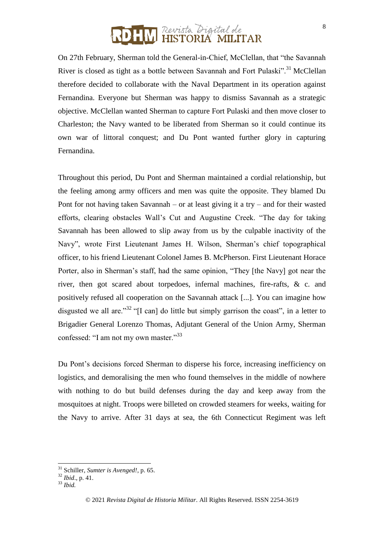On 27th February, Sherman told the General-in-Chief, McClellan, that "the Savannah River is closed as tight as a bottle between Savannah and Fort Pulaski".<sup>31</sup> McClellan therefore decided to collaborate with the Naval Department in its operation against Fernandina. Everyone but Sherman was happy to dismiss Savannah as a strategic objective. McClellan wanted Sherman to capture Fort Pulaski and then move closer to Charleston; the Navy wanted to be liberated from Sherman so it could continue its own war of littoral conquest; and Du Pont wanted further glory in capturing Fernandina.

Throughout this period, Du Pont and Sherman maintained a cordial relationship, but the feeling among army officers and men was quite the opposite. They blamed Du Pont for not having taken Savannah – or at least giving it a try – and for their wasted efforts, clearing obstacles Wall's Cut and Augustine Creek. "The day for taking Savannah has been allowed to slip away from us by the culpable inactivity of the Navy", wrote First Lieutenant James H. Wilson, Sherman's chief topographical officer, to his friend Lieutenant Colonel James B. McPherson. First Lieutenant Horace Porter, also in Sherman's staff, had the same opinion, "They [the Navy] got near the river, then got scared about torpedoes, infernal machines, fire-rafts, & c. and positively refused all cooperation on the Savannah attack [...]. You can imagine how disgusted we all are."<sup>32</sup> "[I can] do little but simply garrison the coast", in a letter to Brigadier General Lorenzo Thomas, Adjutant General of the Union Army, Sherman confessed: "I am not my own master."<sup>33</sup>

Du Pont's decisions forced Sherman to disperse his force, increasing inefficiency on logistics, and demoralising the men who found themselves in the middle of nowhere with nothing to do but build defenses during the day and keep away from the mosquitoes at night. Troops were billeted on crowded steamers for weeks, waiting for the Navy to arrive. After 31 days at sea, the 6th Connecticut Regiment was left

 $\overline{a}$ 

<sup>31</sup> Schiller, *Sumter is Avenged!*, p. 65.

<sup>32</sup> *Ibid*., p. 41.

<sup>33</sup> *Ibid.*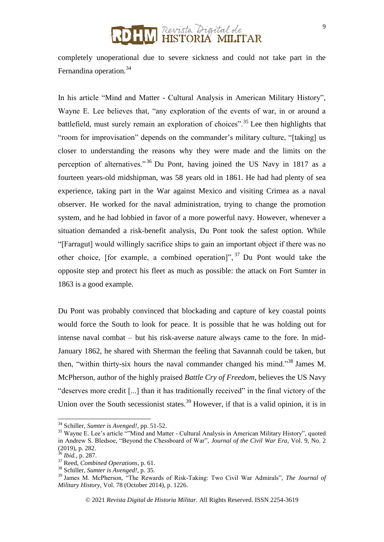#### Revista Digital de 'ORIA MILITAR

completely unoperational due to severe sickness and could not take part in the Fernandina operation.<sup>34</sup>

In his article "Mind and Matter - Cultural Analysis in American Military History", Wayne E. Lee believes that, "any exploration of the events of war, in or around a battlefield, must surely remain an exploration of choices".<sup>35</sup> Lee then highlights that "room for improvisation" depends on the commander's military culture, "[taking] us closer to understanding the reasons why they were made and the limits on the perception of alternatives."<sup>36</sup> Du Pont, having joined the US Navy in 1817 as a fourteen years-old midshipman, was 58 years old in 1861. He had had plenty of sea experience, taking part in the War against Mexico and visiting Crimea as a naval observer. He worked for the naval administration, trying to change the promotion system, and he had lobbied in favor of a more powerful navy. However, whenever a situation demanded a risk-benefit analysis, Du Pont took the safest option. While "[Farragut] would willingly sacrifice ships to gain an important object if there was no other choice, [for example, a combined operation]",  $37$  Du Pont would take the opposite step and protect his fleet as much as possible: the attack on Fort Sumter in 1863 is a good example.

Du Pont was probably convinced that blockading and capture of key coastal points would force the South to look for peace. It is possible that he was holding out for intense naval combat – but his risk-averse nature always came to the fore. In mid-January 1862, he shared with Sherman the feeling that Savannah could be taken, but then, "within thirty-six hours the naval commander changed his mind."<sup>38</sup> James M. McPherson, author of the highly praised *Battle Cry of Freedom*, believes the US Navy "deserves more credit [...] than it has traditionally received" in the final victory of the Union over the South secessionist states.<sup>39</sup> However, if that is a valid opinion, it is in

<sup>34</sup> Schiller, *Sumter is Avenged!*, pp. 51-52.

<sup>&</sup>lt;sup>35</sup> Wayne E. Lee's article ""Mind and Matter - Cultural Analysis in American Military History", quoted in Andrew S. Bledsoe, "Beyond the Chessboard of War", *Journal of the Civil War Era*, Vol. 9, No. 2 (2019), p. 282.

<sup>36</sup> *Ibid.*, p. 287.

<sup>37</sup> Reed, *Combined Operations*, p. 61.

<sup>38</sup> Schiller, *Sumter is Avenged!*, p. 35.

<sup>39</sup> James M. McPherson, "The Rewards of Risk-Taking: Two Civil War Admirals", *The Journal of Military History*, Vol. 78 (October 2014), p. 1226.